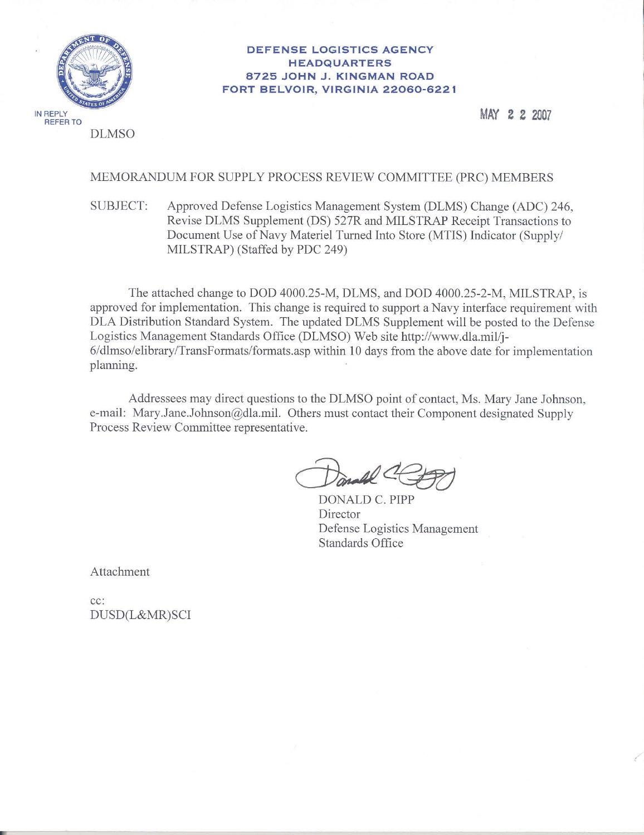

#### **DEFENSE LOGISTICS AGENCY HEADQUARTERS** 8725 JOHN J. KINGMAN ROAD FORT BELVOIR, VIRGINIA 22060-6221

MAY 2 2 2007

#### MEMORANDUM FOR SUPPLY PROCESS REVIEW COMMITTEE (PRC) MEMBERS

#### Approved Defense Logistics Management System (DLMS) Change (ADC) 246, **SUBJECT:** Revise DLMS Supplement (DS) 527R and MILSTRAP Receipt Transactions to Document Use of Navy Materiel Turned Into Store (MTIS) Indicator (Supply/ MILSTRAP) (Staffed by PDC 249)

The attached change to DOD 4000.25-M, DLMS, and DOD 4000.25-2-M, MILSTRAP, is approved for implementation. This change is required to support a Navy interface requirement with DLA Distribution Standard System. The updated DLMS Supplement will be posted to the Defense Logistics Management Standards Office (DLMSO) Web site http://www.dla.mil/j-6/dlmso/elibrary/TransFormats/formats.asp within 10 days from the above date for implementation planning.

Addressees may direct questions to the DLMSO point of contact, Ms. Mary Jane Johnson, e-mail: Mary.Jane.Johnson@dla.mil. Others must contact their Component designated Supply Process Review Committee representative.

DONALD C. PIPP Director Defense Logistics Management Standards Office

Attachment

cc: DUSD(L&MR)SCI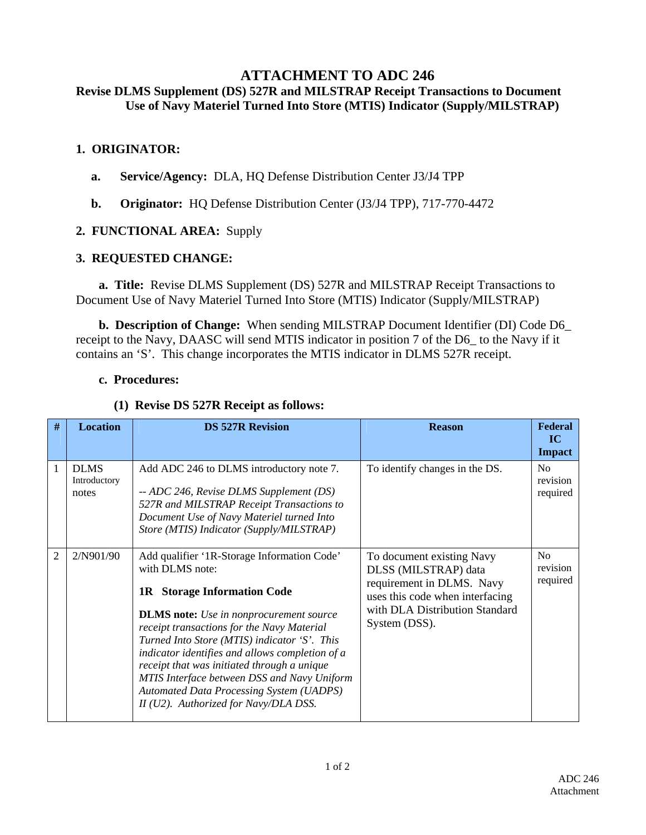# **ATTACHMENT TO ADC 246**

## **Revise DLMS Supplement (DS) 527R and MILSTRAP Receipt Transactions to Document Use of Navy Materiel Turned Into Store (MTIS) Indicator (Supply/MILSTRAP)**

#### **1. ORIGINATOR:**

- **a. Service/Agency:** DLA, HQ Defense Distribution Center J3/J4 TPP
- **b. Originator:** HQ Defense Distribution Center (J3/J4 TPP), 717-770-4472

## **2. FUNCTIONAL AREA:** Supply

### **3. REQUESTED CHANGE:**

 **a. Title:** Revise DLMS Supplement (DS) 527R and MILSTRAP Receipt Transactions to Document Use of Navy Materiel Turned Into Store (MTIS) Indicator (Supply/MILSTRAP)

 **b. Description of Change:** When sending MILSTRAP Document Identifier (DI) Code D6\_ receipt to the Navy, DAASC will send MTIS indicator in position 7 of the D6\_ to the Navy if it contains an 'S'. This change incorporates the MTIS indicator in DLMS 527R receipt.

#### **c. Procedures:**

#### **(1) Revise DS 527R Receipt as follows:**

| #              | <b>Location</b>                      | <b>DS 527R Revision</b>                                                                                                                                                                                                                                                                                                                                                                                                                                                                           | <b>Reason</b>                                                                                                                                                        | <b>Federal</b><br>IC<br><b>Impact</b>  |
|----------------|--------------------------------------|---------------------------------------------------------------------------------------------------------------------------------------------------------------------------------------------------------------------------------------------------------------------------------------------------------------------------------------------------------------------------------------------------------------------------------------------------------------------------------------------------|----------------------------------------------------------------------------------------------------------------------------------------------------------------------|----------------------------------------|
| 1              | <b>DLMS</b><br>Introductory<br>notes | Add ADC 246 to DLMS introductory note 7.<br>-- ADC 246, Revise DLMS Supplement (DS)<br>527R and MILSTRAP Receipt Transactions to<br>Document Use of Navy Materiel turned Into<br>Store (MTIS) Indicator (Supply/MILSTRAP)                                                                                                                                                                                                                                                                         | To identify changes in the DS.                                                                                                                                       | N <sub>o</sub><br>revision<br>required |
| $\overline{2}$ | 2/N901/90                            | Add qualifier '1R-Storage Information Code'<br>with DLMS note:<br><b>1R</b> Storage Information Code<br><b>DLMS</b> note: Use in nonprocurement source<br>receipt transactions for the Navy Material<br>Turned Into Store (MTIS) indicator 'S'. This<br>indicator identifies and allows completion of a<br>receipt that was initiated through a unique<br>MTIS Interface between DSS and Navy Uniform<br><b>Automated Data Processing System (UADPS)</b><br>II (U2). Authorized for Navy/DLA DSS. | To document existing Navy<br>DLSS (MILSTRAP) data<br>requirement in DLMS. Navy<br>uses this code when interfacing<br>with DLA Distribution Standard<br>System (DSS). | N <sub>o</sub><br>revision<br>required |